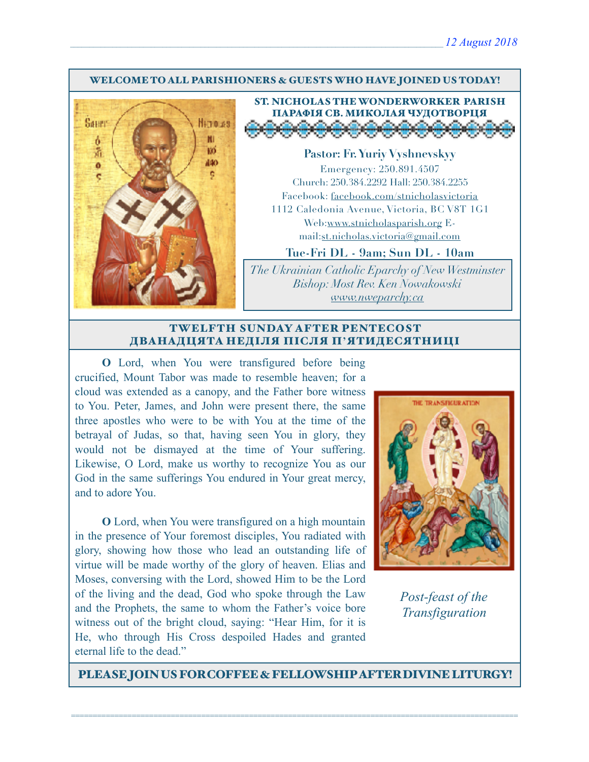#### WELCOME TO ALL PARISHIONERS & GUESTS WHO HAVE JOINED US TODAY!



ST. NICHOLAS THE WONDERWORKER PARISH ПАРАФІЯ СВ. МИКОЛАЯ ЧУДОТВОРЦЯ <u>ra a la la la la la la l</u>

**Pastor: Fr. Yuriy Vyshnevskyy** Emergency: 250.891.4507 Church: 250.384.2292 Hall: 250.384.2255 Facebook: facebook.com/stnicholasvictoria 1112 Caledonia Avenue, Victoria, BC V8T 1G1 Web[:www.stnicholasparish.org](http://www.stnicholasparish.org) Email:[st.nicholas.victoria@gmail.com](mailto:st.nicholas.victoria@gmail.com)

**Tue-Fri DL - 9am; Sun DL - 10am**

*The Ukrainian Catholic Eparchy of New Westminster Bishop: Most Rev. Ken Nowakowski [www.nweparchy.ca](http://www.nweparchy.ca)*

#### TWELFTH SUNDAY AFTER PENTECOST ДВАНАДЦЯТА НЕДІЛЯ ПІСЛЯ П**'**ЯТИДЕСЯТНИЦІ

**O** Lord, when You were transfigured before being crucified, Mount Tabor was made to resemble heaven; for a cloud was extended as a canopy, and the Father bore witness to You. Peter, James, and John were present there, the same three apostles who were to be with You at the time of the betrayal of Judas, so that, having seen You in glory, they would not be dismayed at the time of Your suffering. Likewise, O Lord, make us worthy to recognize You as our God in the same sufferings You endured in Your great mercy, and to adore You.

**O** Lord, when You were transfigured on a high mountain in the presence of Your foremost disciples, You radiated with glory, showing how those who lead an outstanding life of virtue will be made worthy of the glory of heaven. Elias and Moses, conversing with the Lord, showed Him to be the Lord of the living and the dead, God who spoke through the Law and the Prophets, the same to whom the Father's voice bore witness out of the bright cloud, saying: "Hear Him, for it is He, who through His Cross despoiled Hades and granted eternal life to the dead."



*Post-feast of the Transfiguration*

PLEASE JOIN US FOR COFFEE & FELLOWSHIP AFTER DIVINE LITURGY!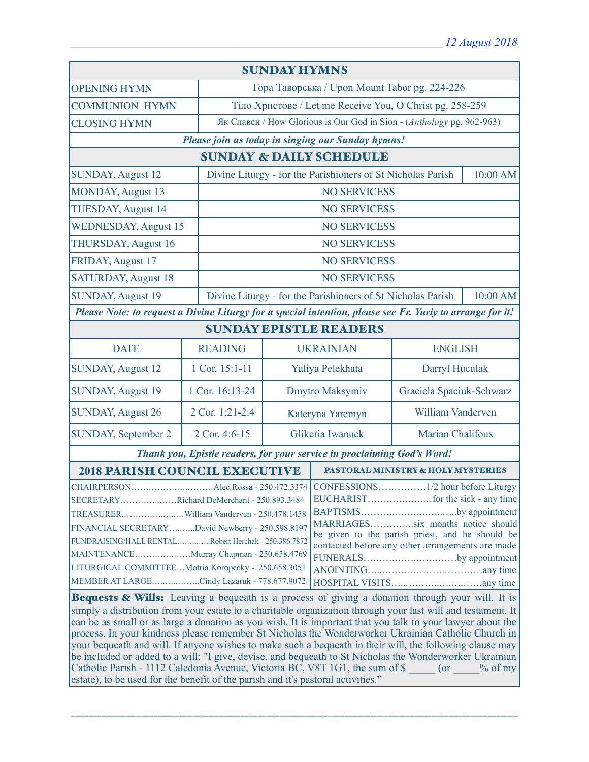| <b>SUNDAY HYMNS</b>                                                                                                                                                                                                                                                                                                                                                                                                                                                                                                                                                                                                                                                                                                                                                                                                                                                                                                                                                                                                                                          |                 |                                                                         |                                                                         |                          |  |  |
|--------------------------------------------------------------------------------------------------------------------------------------------------------------------------------------------------------------------------------------------------------------------------------------------------------------------------------------------------------------------------------------------------------------------------------------------------------------------------------------------------------------------------------------------------------------------------------------------------------------------------------------------------------------------------------------------------------------------------------------------------------------------------------------------------------------------------------------------------------------------------------------------------------------------------------------------------------------------------------------------------------------------------------------------------------------|-----------------|-------------------------------------------------------------------------|-------------------------------------------------------------------------|--------------------------|--|--|
| <b>OPENING HYMN</b>                                                                                                                                                                                                                                                                                                                                                                                                                                                                                                                                                                                                                                                                                                                                                                                                                                                                                                                                                                                                                                          |                 | Гора Таворська / Upon Mount Tabor pg. 224-226                           |                                                                         |                          |  |  |
| <b>COMMUNION HYMN</b>                                                                                                                                                                                                                                                                                                                                                                                                                                                                                                                                                                                                                                                                                                                                                                                                                                                                                                                                                                                                                                        |                 | Тіло Христове / Let me Receive You, O Christ pg. 258-259                |                                                                         |                          |  |  |
| <b>CLOSING HYMN</b>                                                                                                                                                                                                                                                                                                                                                                                                                                                                                                                                                                                                                                                                                                                                                                                                                                                                                                                                                                                                                                          |                 |                                                                         | Як Славен / How Glorious is Our God in Sion - (Anthology pg. 962-963)   |                          |  |  |
| Please join us today in singing our Sunday hymns!                                                                                                                                                                                                                                                                                                                                                                                                                                                                                                                                                                                                                                                                                                                                                                                                                                                                                                                                                                                                            |                 |                                                                         |                                                                         |                          |  |  |
| <b>SUNDAY &amp; DAILY SCHEDULE</b>                                                                                                                                                                                                                                                                                                                                                                                                                                                                                                                                                                                                                                                                                                                                                                                                                                                                                                                                                                                                                           |                 |                                                                         |                                                                         |                          |  |  |
| <b>SUNDAY, August 12</b>                                                                                                                                                                                                                                                                                                                                                                                                                                                                                                                                                                                                                                                                                                                                                                                                                                                                                                                                                                                                                                     |                 |                                                                         | Divine Liturgy - for the Parishioners of St Nicholas Parish<br>10:00 AM |                          |  |  |
| <b>MONDAY, August 13</b>                                                                                                                                                                                                                                                                                                                                                                                                                                                                                                                                                                                                                                                                                                                                                                                                                                                                                                                                                                                                                                     |                 | <b>NO SERVICESS</b>                                                     |                                                                         |                          |  |  |
| <b>TUESDAY, August 14</b>                                                                                                                                                                                                                                                                                                                                                                                                                                                                                                                                                                                                                                                                                                                                                                                                                                                                                                                                                                                                                                    |                 | <b>NO SERVICESS</b>                                                     |                                                                         |                          |  |  |
| <b>WEDNESDAY, August 15</b>                                                                                                                                                                                                                                                                                                                                                                                                                                                                                                                                                                                                                                                                                                                                                                                                                                                                                                                                                                                                                                  |                 | <b>NO SERVICESS</b>                                                     |                                                                         |                          |  |  |
| <b>THURSDAY, August 16</b>                                                                                                                                                                                                                                                                                                                                                                                                                                                                                                                                                                                                                                                                                                                                                                                                                                                                                                                                                                                                                                   |                 |                                                                         | <b>NO SERVICESS</b>                                                     |                          |  |  |
| FRIDAY, August 17                                                                                                                                                                                                                                                                                                                                                                                                                                                                                                                                                                                                                                                                                                                                                                                                                                                                                                                                                                                                                                            |                 |                                                                         | <b>NO SERVICESS</b>                                                     |                          |  |  |
| <b>SATURDAY, August 18</b>                                                                                                                                                                                                                                                                                                                                                                                                                                                                                                                                                                                                                                                                                                                                                                                                                                                                                                                                                                                                                                   |                 |                                                                         | <b>NO SERVICESS</b>                                                     |                          |  |  |
| <b>SUNDAY, August 19</b>                                                                                                                                                                                                                                                                                                                                                                                                                                                                                                                                                                                                                                                                                                                                                                                                                                                                                                                                                                                                                                     |                 | Divine Liturgy - for the Parishioners of St Nicholas Parish<br>10:00 AM |                                                                         |                          |  |  |
| Please Note: to request a Divine Liturgy for a special intention, please see Fr. Yuriy to arrange for it!                                                                                                                                                                                                                                                                                                                                                                                                                                                                                                                                                                                                                                                                                                                                                                                                                                                                                                                                                    |                 |                                                                         |                                                                         |                          |  |  |
| <b>SUNDAY EPISTLE READERS</b>                                                                                                                                                                                                                                                                                                                                                                                                                                                                                                                                                                                                                                                                                                                                                                                                                                                                                                                                                                                                                                |                 |                                                                         |                                                                         |                          |  |  |
| <b>DATE</b>                                                                                                                                                                                                                                                                                                                                                                                                                                                                                                                                                                                                                                                                                                                                                                                                                                                                                                                                                                                                                                                  | <b>READING</b>  | <b>UKRAINIAN</b>                                                        |                                                                         | <b>ENGLISH</b>           |  |  |
| <b>SUNDAY, August 12</b>                                                                                                                                                                                                                                                                                                                                                                                                                                                                                                                                                                                                                                                                                                                                                                                                                                                                                                                                                                                                                                     | 1 Cor. 15:1-11  | Yuliya Pelekhata<br>Darryl Huculak                                      |                                                                         |                          |  |  |
| <b>SUNDAY, August 19</b>                                                                                                                                                                                                                                                                                                                                                                                                                                                                                                                                                                                                                                                                                                                                                                                                                                                                                                                                                                                                                                     | 1 Cor. 16:13-24 |                                                                         | Dmytro Maksymiv                                                         | Graciela Spaciuk-Schwarz |  |  |
| <b>SUNDAY, August 26</b>                                                                                                                                                                                                                                                                                                                                                                                                                                                                                                                                                                                                                                                                                                                                                                                                                                                                                                                                                                                                                                     | 2 Cor. 1:21-2:4 |                                                                         | Kateryna Yaremyn                                                        | William Vanderven        |  |  |
| <b>SUNDAY, September 2</b>                                                                                                                                                                                                                                                                                                                                                                                                                                                                                                                                                                                                                                                                                                                                                                                                                                                                                                                                                                                                                                   | 2 Cor. 4:6-15   |                                                                         | Glikeria Iwanuck                                                        | Marian Chalifoux         |  |  |
| Thank you, Epistle readers, for your service in proclaiming God's Word!                                                                                                                                                                                                                                                                                                                                                                                                                                                                                                                                                                                                                                                                                                                                                                                                                                                                                                                                                                                      |                 |                                                                         |                                                                         |                          |  |  |
| <b>2018 PARISH COUNCIL EXECUTIVE</b>                                                                                                                                                                                                                                                                                                                                                                                                                                                                                                                                                                                                                                                                                                                                                                                                                                                                                                                                                                                                                         |                 |                                                                         | PASTORAL MINISTRY & HOLY MYSTERIES                                      |                          |  |  |
| SECRETARYRichard DeMerchant - 250.893.3484<br>BAPTISMSby appointment<br>MARRIAGESsix months notice should<br>FINANCIAL SECRETARYDavid Newberry - 250.598.8197<br>be given to the parish priest, and he should be<br>FUNDRAISING/HALL RENTALRobert Herchak - 250.386.7872<br>contacted before any other arrangements are made<br>MAINTENANCEMurray Chapman - 250.658.4769<br>FUNERALSby appointment<br>LITURGICAL COMMITTEEMotria Koropecky - 250.658.3051<br>MEMBER AT LARGECindy Lazaruk - 778.677.9072<br>Bequests & Wills: Leaving a bequeath is a process of giving a donation through your will. It is<br>simply a distribution from your estate to a charitable organization through your last will and testament. It<br>can be as small or as large a donation as you wish. It is important that you talk to your lawyer about the<br>process. In your kindness please remember St Nicholas the Wonderworker Ukrainian Catholic Church in<br>your bequeath and will. If anyone wishes to make such a bequeath in their will, the following clause may |                 |                                                                         |                                                                         |                          |  |  |
| be included or added to a will: "I give, devise, and bequeath to St Nicholas the Wonderworker Ukrainian<br>Catholic Parish - 1112 Caledonia Avenue, Victoria BC, V8T 1G1, the sum of \$ (or % of my<br>estate), to be used for the benefit of the parish and it's pastoral activities."                                                                                                                                                                                                                                                                                                                                                                                                                                                                                                                                                                                                                                                                                                                                                                      |                 |                                                                         |                                                                         |                          |  |  |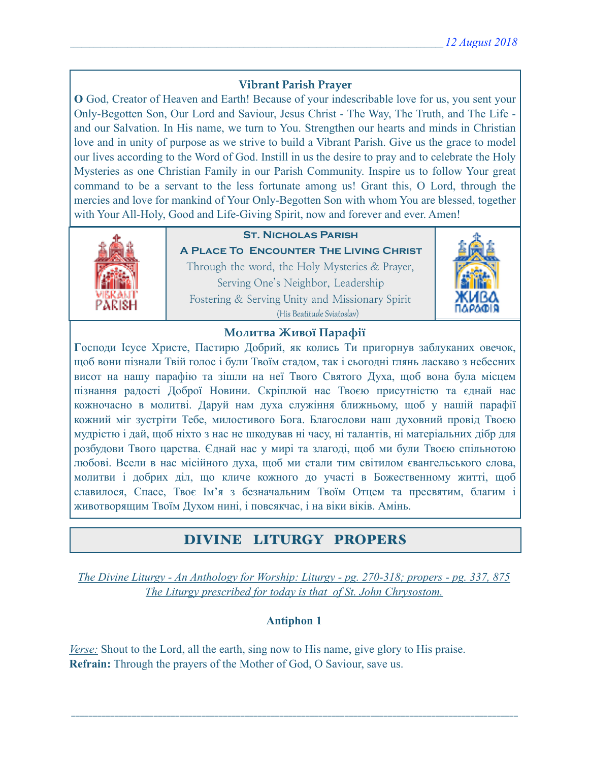### **Vibrant Parish Prayer**

**O** God, Creator of Heaven and Earth! Because of your indescribable love for us, you sent your Only-Begotten Son, Our Lord and Saviour, Jesus Christ - The Way, The Truth, and The Life and our Salvation. In His name, we turn to You. Strengthen our hearts and minds in Christian love and in unity of purpose as we strive to build a Vibrant Parish. Give us the grace to model our lives according to the Word of God. Instill in us the desire to pray and to celebrate the Holy Mysteries as one Christian Family in our Parish Community. Inspire us to follow Your great command to be a servant to the less fortunate among us! Grant this, O Lord, through the mercies and love for mankind of Your Only-Begotten Son with whom You are blessed, together with Your All-Holy, Good and Life-Giving Spirit, now and forever and ever. Amen!



## **St. Nicholas Parish**

**A Place To Encounter The Living Christ** Through the word, the Holy Mysteries & Prayer, Serving One's Neighbor, Leadership Fostering & Serving Unity and Missionary Spirit (His Beatitude Sviatoslav)



#### **Молитва Живої Парафії**

**Г**осподи Ісусе Христе, Пастирю Добрий, як колись Ти пригорнув заблуканих овечок, щоб вони пізнали Твій голос і були Твоїм стадом, так і сьогодні глянь ласкаво з небесних висот на нашу парафію та зішли на неї Твого Святого Духа, щоб вона була місцем пізнання радості Доброї Новини. Скріплюй нас Твоєю присутністю та єднай нас кожночасно в молитві. Даруй нам духа служіння ближньому, щоб у нашій парафії кожний міг зустріти Тебе, милостивого Бога. Благослови наш духовний провід Твоєю мудрістю і дай, щоб ніхто з нас не шкодував ні часу, ні талантів, ні матеріальних дібр для розбудови Твого царства. Єднай нас у мирі та злагоді, щоб ми були Твоєю спільнотою любові. Всели в нас місійного духа, щоб ми стали тим світилом євангельського слова, молитви і добрих діл, що кличе кожного до участі в Божественному житті, щоб славилося, Спасе, Твоє Ім'я з безначальним Твоїм Отцем та пресвятим, благим і животворящим Твоїм Духом нині, і повсякчас, і на віки віків. Амінь.

# DIVINE LITURGY PROPERS

*The Divine Liturgy - An Anthology for Worship: Liturgy - pg. 270-318; propers - pg. 337, 875 The Liturgy prescribed for today is that of St. John Chrysostom.* 

### **Antiphon 1**

=======================================================================================================

*Verse:* Shout to the Lord, all the earth, sing now to His name, give glory to His praise. **Refrain:** Through the prayers of the Mother of God, O Saviour, save us.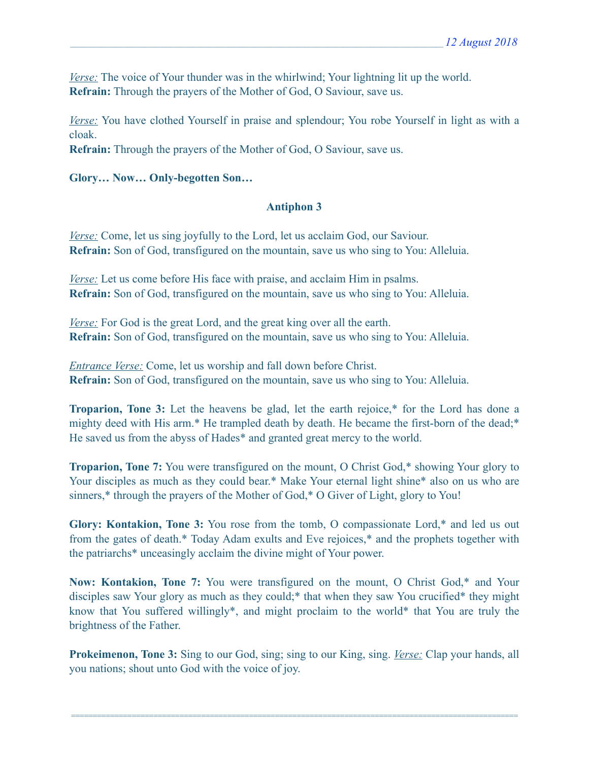*Verse:* The voice of Your thunder was in the whirlwind; Your lightning lit up the world. **Refrain:** Through the prayers of the Mother of God, O Saviour, save us.

*Verse:* You have clothed Yourself in praise and splendour; You robe Yourself in light as with a cloak.

**Refrain:** Through the prayers of the Mother of God, O Saviour, save us.

#### **Glory… Now… Only-begotten Son…**

#### **Antiphon 3**

*Verse:* Come, let us sing joyfully to the Lord, let us acclaim God, our Saviour. **Refrain:** Son of God, transfigured on the mountain, save us who sing to You: Alleluia.

*<u>Verse:</u>* Let us come before His face with praise, and acclaim Him in psalms. **Refrain:** Son of God, transfigured on the mountain, save us who sing to You: Alleluia.

*Verse:* For God is the great Lord, and the great king over all the earth. **Refrain:** Son of God, transfigured on the mountain, save us who sing to You: Alleluia.

*Entrance Verse:* Come, let us worship and fall down before Christ. **Refrain:** Son of God, transfigured on the mountain, save us who sing to You: Alleluia.

**Troparion, Tone 3:** Let the heavens be glad, let the earth rejoice,\* for the Lord has done a mighty deed with His arm.\* He trampled death by death. He became the first-born of the dead;\* He saved us from the abyss of Hades\* and granted great mercy to the world.

**Troparion, Tone 7:** You were transfigured on the mount, O Christ God,\* showing Your glory to Your disciples as much as they could bear.\* Make Your eternal light shine\* also on us who are sinners,\* through the prayers of the Mother of God,\* O Giver of Light, glory to You!

**Glory: Kontakion, Tone 3:** You rose from the tomb, O compassionate Lord,\* and led us out from the gates of death.\* Today Adam exults and Eve rejoices,\* and the prophets together with the patriarchs\* unceasingly acclaim the divine might of Your power.

**Now: Kontakion, Tone 7:** You were transfigured on the mount, O Christ God,\* and Your disciples saw Your glory as much as they could;\* that when they saw You crucified\* they might know that You suffered willingly\*, and might proclaim to the world\* that You are truly the brightness of the Father.

**Prokeimenon, Tone 3:** Sing to our God, sing; sing to our King, sing. *Verse:* Clap your hands, all you nations; shout unto God with the voice of joy.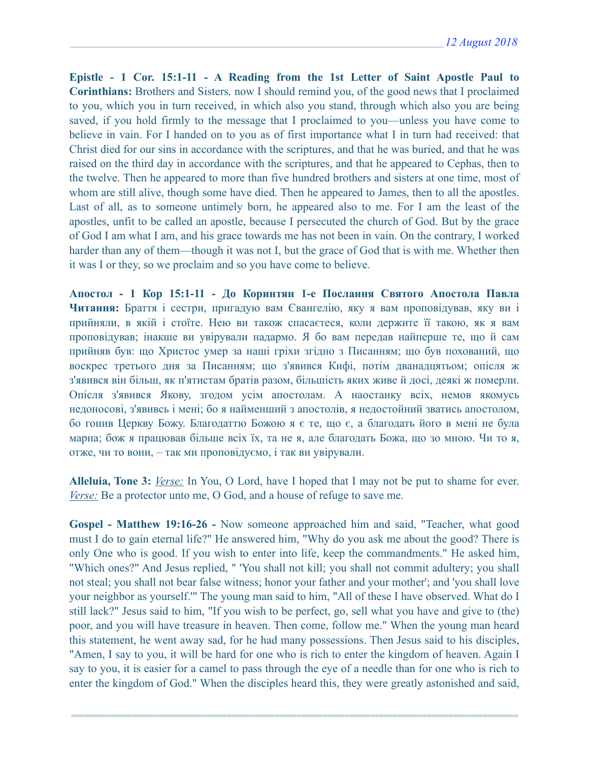**Epistle - 1 Cor. 15:1-11 - A Reading from the 1st Letter of Saint Apostle Paul to Corinthians:** Brothers and Sisters*,* now I should remind you, of the good news that I proclaimed to you, which you in turn received, in which also you stand, through which also you are being saved, if you hold firmly to the message that I proclaimed to you—unless you have come to believe in vain. For I handed on to you as of first importance what I in turn had received: that Christ died for our sins in accordance with the scriptures, and that he was buried, and that he was raised on the third day in accordance with the scriptures, and that he appeared to Cephas, then to the twelve. Then he appeared to more than five hundred brothers and sisters at one time, most of whom are still alive, though some have died. Then he appeared to James, then to all the apostles. Last of all, as to someone untimely born, he appeared also to me. For I am the least of the apostles, unfit to be called an apostle, because I persecuted the church of God. But by the grace of God I am what I am, and his grace towards me has not been in vain. On the contrary, I worked harder than any of them—though it was not I, but the grace of God that is with me. Whether then it was I or they, so we proclaim and so you have come to believe.

**Апостол - 1 Кор 15:1-11 - До Коринтян 1-e Послання Святого Апостола Павла Читання:** Браття і сестри, пригадую вам Євангелію, яку я вам проповідував, яку ви і прийняли, в якій і стоїте. Нею ви також спасаєтеся, коли держите її такою, як я вам проповідував; інакше ви увірували надармо. Я бо вам передав найперше те, що й сам прийняв був: що Христос умер за наші гріхи згідно з Писанням; що був похований, що воскрес третього дня за Писанням; що з'явився Кифі, потім дванадцятьом; опісля ж з'явився він більш, як п'ятистам братів разом, більшість яких живе й досі, деякі ж померли. Опісля з'явився Якову, згодом усім апостолам. А наостанку всіх, немов якомусь недоносові, з'явивсь і мені; бо я найменший з апостолів, я недостойний зватись апостолом, бо гонив Церкву Божу. Благодаттю Божою я є те, що є, а благодать його в мені не була марна; бож я працював більше всіх їх, та не я, але благодать Божа, що зо мною. Чи то я, отже, чи то вони, – так ми проповідуємо, і так ви увірували.

**Alleluia, Tone 3:** *Verse:* In You, O Lord, have I hoped that I may not be put to shame for ever. *Verse:* Be a protector unto me, O God, and a house of refuge to save me.

**Gospel - Мatthew 19:16-26 -** Now someone approached him and said, "Teacher, what good must I do to gain eternal life?" He answered him, "Why do you ask me about the good? There is only One who is good. If you wish to enter into life, keep the commandments." He asked him, "Which ones?" And Jesus replied, " 'You shall not kill; you shall not commit adultery; you shall not steal; you shall not bear false witness; honor your father and your mother'; and 'you shall love your neighbor as yourself.'" The young man said to him, "All of these I have observed. What do I still lack?" Jesus said to him, "If you wish to be perfect, go, sell what you have and give to (the) poor, and you will have treasure in heaven. Then come, follow me." When the young man heard this statement, he went away sad, for he had many possessions. Then Jesus said to his disciples, "Amen, I say to you, it will be hard for one who is rich to enter the kingdom of heaven. Again I say to you, it is easier for a camel to pass through the eye of a needle than for one who is rich to enter the kingdom of God." When the disciples heard this, they were greatly astonished and said,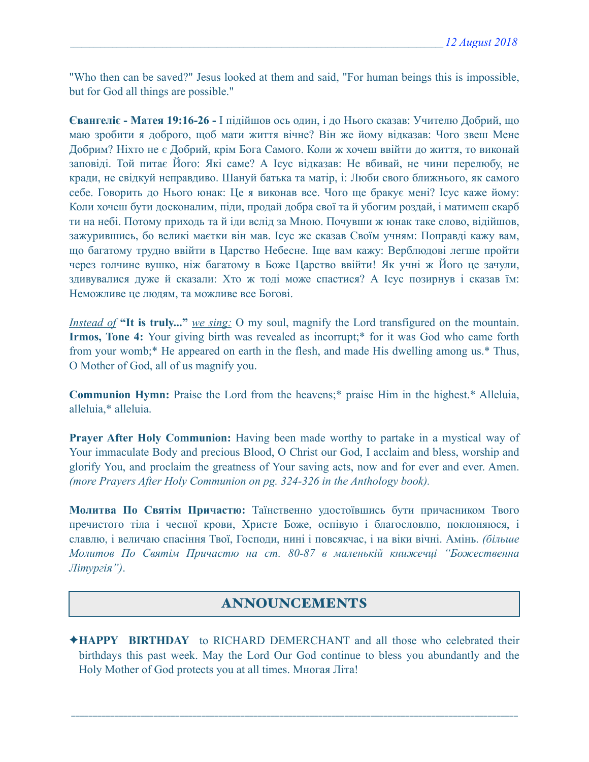"Who then can be saved?" Jesus looked at them and said, "For human beings this is impossible, but for God all things are possible."

**Євангеліє - Матея 19:16-26 -** І підійшов ось один, і до Нього сказав: Учителю Добрий, що маю зробити я доброго, щоб мати життя вічне? Він же йому відказав: Чого звеш Мене Добрим? Ніхто не є Добрий, крім Бога Самого. Коли ж хочеш ввійти до життя, то виконай заповіді. Той питає Його: Які саме? А Ісус відказав: Не вбивай, не чини перелюбу, не кради, не свідкуй неправдиво. Шануй батька та матір, і: Люби свого ближнього, як самого себе. Говорить до Нього юнак: Це я виконав все. Чого ще бракує мені? Ісус каже йому: Коли хочеш бути досконалим, піди, продай добра свої та й убогим роздай, і матимеш скарб ти на небі. Потому приходь та й іди вслід за Мною. Почувши ж юнак таке слово, відійшов, зажурившись, бо великі маєтки він мав. Ісус же сказав Своїм учням: Поправді кажу вам, що багатому трудно ввійти в Царство Небесне. Іще вам кажу: Верблюдові легше пройти через голчине вушко, ніж багатому в Боже Царство ввійти! Як учні ж Його це зачули, здивувалися дуже й сказали: Хто ж тоді може спастися? А Ісус позирнув і сказав їм: Неможливе це людям, та можливе все Богові.

*Instead of* **"It is truly..."** *we sing:* O my soul, magnify the Lord transfigured on the mountain. **Irmos, Tone 4:** Your giving birth was revealed as incorrupt;\* for it was God who came forth from your womb;\* He appeared on earth in the flesh, and made His dwelling among us.\* Thus, O Mother of God, all of us magnify you.

**Communion Hymn:** Praise the Lord from the heavens;\* praise Him in the highest.\* Alleluia, alleluia,\* alleluia.

**Prayer After Holy Communion:** Having been made worthy to partake in a mystical way of Your immaculate Body and precious Blood, O Christ our God, I acclaim and bless, worship and glorify You, and proclaim the greatness of Your saving acts, now and for ever and ever. Amen. *(more Prayers After Holy Communion on pg. 324-326 in the Anthology book).* 

**Молитва По Святім Причастю:** Таїнственно удостоївшись бути причасником Твого пречистого тіла і чесної крови, Христе Боже, оспівую і благословлю, поклоняюся, і славлю, і величаю спасіння Твої, Господи, нині і повсякчас, і на віки вічні. Амінь. *(більше Молитов По Святім Причастю на ст. 80-87 в маленькій книжечці "Божественна Літургія")*.

# ANNOUNCEMENTS

✦**HAPPY BIRTHDAY** to RICHARD DEMERCHANT and all those who celebrated their birthdays this past week. May the Lord Our God continue to bless you abundantly and the Holy Mother of God protects you at all times. Многая Літа!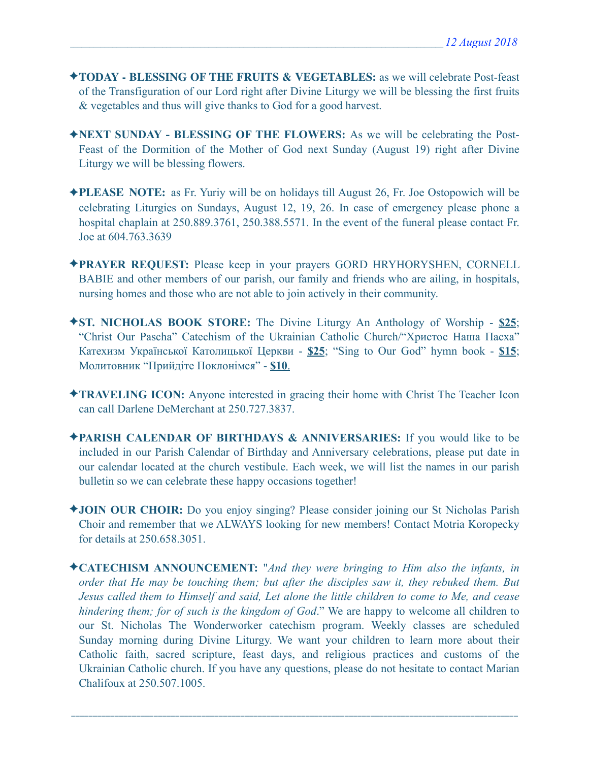- ✦**TODAY BLESSING OF THE FRUITS & VEGETABLES:** as we will celebrate Post-feast of the Transfiguration of our Lord right after Divine Liturgy we will be blessing the first fruits & vegetables and thus will give thanks to God for a good harvest.
- ✦**NEXT SUNDAY BLESSING OF THE FLOWERS:** As we will be celebrating the Post-Feast of the Dormition of the Mother of God next Sunday (August 19) right after Divine Liturgy we will be blessing flowers.
- ✦**PLEASE NOTE:** as Fr. Yuriy will be on holidays till August 26, Fr. Joe Ostopowich will be celebrating Liturgies on Sundays, August 12, 19, 26. In case of emergency please phone a hospital chaplain at 250.889.3761, 250.388.5571. In the event of the funeral please contact Fr. Joe at 604.763.3639
- ✦**PRAYER REQUEST:** Please keep in your prayers GORD HRYHORYSHEN, CORNELL BABIE and other members of our parish, our family and friends who are ailing, in hospitals, nursing homes and those who are not able to join actively in their community.
- ✦**ST. NICHOLAS BOOK STORE:** The Divine Liturgy An Anthology of Worship **\$25**; "Christ Our Pascha" Catechism of the Ukrainian Catholic Church/"Христос Наша Пасха" Катехизм Української Католицької Церкви - **\$25**; "Sing to Our God" hymn book - **\$15**; Молитовник "Прийдіте Поклонімся" - **\$10**.
- ✦**TRAVELING ICON:** Anyone interested in gracing their home with Christ The Teacher Icon can call Darlene DeMerchant at 250.727.3837.
- ✦**PARISH CALENDAR OF BIRTHDAYS & ANNIVERSARIES:** If you would like to be included in our Parish Calendar of Birthday and Anniversary celebrations, please put date in our calendar located at the church vestibule. Each week, we will list the names in our parish bulletin so we can celebrate these happy occasions together!
- ✦**JOIN OUR CHOIR:** Do you enjoy singing? Please consider joining our St Nicholas Parish Choir and remember that we ALWAYS looking for new members! Contact Motria Koropecky for details at 250.658.3051.
- ✦**CATECHISM ANNOUNCEMENT:** "*And they were bringing to Him also the infants, in order that He may be touching them; but after the disciples saw it, they rebuked them. But Jesus called them to Himself and said, Let alone the little children to come to Me, and cease hindering them; for of such is the kingdom of God*." We are happy to welcome all children to our St. Nicholas The Wonderworker catechism program. Weekly classes are scheduled Sunday morning during Divine Liturgy. We want your children to learn more about their Catholic faith, sacred scripture, feast days, and religious practices and customs of the Ukrainian Catholic church. If you have any questions, please do not hesitate to contact Marian Chalifoux at 250.507.1005.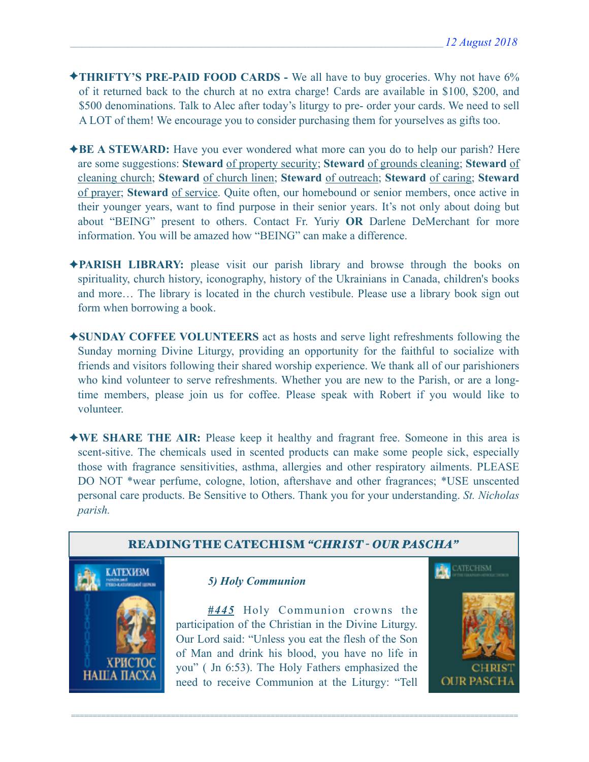- ✦**THRIFTY'S PRE-PAID FOOD CARDS** We all have to buy groceries. Why not have 6% of it returned back to the church at no extra charge! Cards are available in \$100, \$200, and \$500 denominations. Talk to Alec after today's liturgy to pre- order your cards. We need to sell A LOT of them! We encourage you to consider purchasing them for yourselves as gifts too.
- **★BE A STEWARD:** Have you ever wondered what more can you do to help our parish? Here are some suggestions: **Steward** of property security; **Steward** of grounds cleaning; **Steward** of cleaning church; **Steward** of church linen; **Steward** of outreach; **Steward** of caring; **Steward** of prayer; **Steward** of service. Quite often, our homebound or senior members, once active in their younger years, want to find purpose in their senior years. It's not only about doing but about "BEING" present to others. Contact Fr. Yuriy **OR** Darlene DeMerchant for more information. You will be amazed how "BEING" can make a difference.
- ✦**PARISH LIBRARY:** please visit our parish library and browse through the books on spirituality, church history, iconography, history of the Ukrainians in Canada, children's books and more… The library is located in the church vestibule. Please use a library book sign out form when borrowing a book.
- ✦**SUNDAY COFFEE VOLUNTEERS** act as hosts and serve light refreshments following the Sunday morning Divine Liturgy, providing an opportunity for the faithful to socialize with friends and visitors following their shared worship experience. We thank all of our parishioners who kind volunteer to serve refreshments. Whether you are new to the Parish, or are a longtime members, please join us for coffee. Please speak with Robert if you would like to volunteer.
- ✦**WE SHARE THE AIR:** Please keep it healthy and fragrant free. Someone in this area is scent-sitive. The chemicals used in scented products can make some people sick, especially those with fragrance sensitivities, asthma, allergies and other respiratory ailments. PLEASE DO NOT \*wear perfume, cologne, lotion, aftershave and other fragrances; \*USE unscented personal care products. Be Sensitive to Others. Thank you for your understanding. *St. Nicholas parish.*

### READING THE CATECHISM *"CHRIST - OUR PASCHA"*



#### *5) Holy Communion*

*#445* Holy Communion crowns the participation of the Christian in the Divine Liturgy. Our Lord said: "Unless you eat the flesh of the Son of Man and drink his blood, you have no life in you" ( Jn 6:53). The Holy Fathers emphasized the need to receive Communion at the Liturgy: "Tell